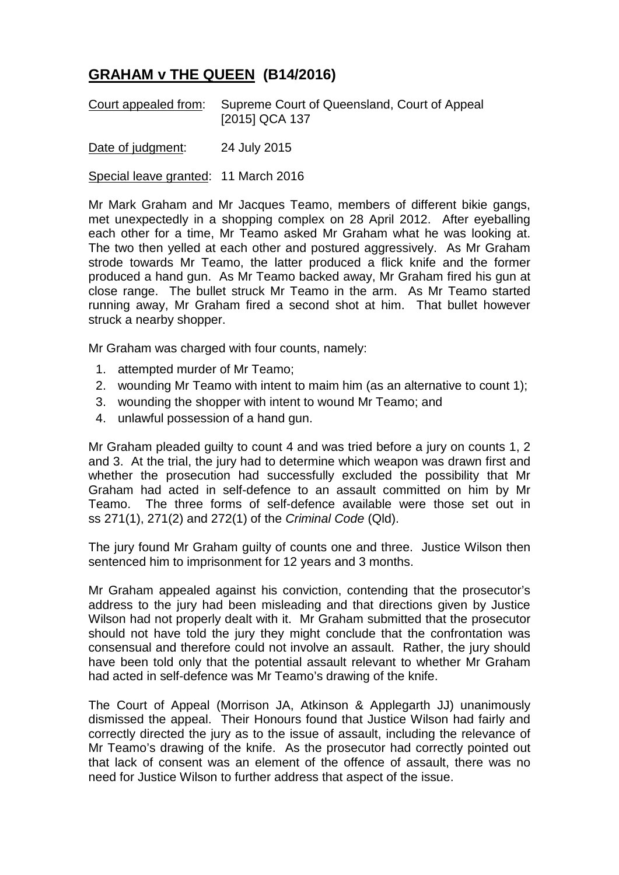## **GRAHAM v THE QUEEN (B14/2016)**

Court appealed from: Supreme Court of Queensland, Court of Appeal [2015] QCA 137

Date of judgment: 24 July 2015

Special leave granted: 11 March 2016

Mr Mark Graham and Mr Jacques Teamo, members of different bikie gangs, met unexpectedly in a shopping complex on 28 April 2012. After eyeballing each other for a time, Mr Teamo asked Mr Graham what he was looking at. The two then yelled at each other and postured aggressively. As Mr Graham strode towards Mr Teamo, the latter produced a flick knife and the former produced a hand gun. As Mr Teamo backed away, Mr Graham fired his gun at close range. The bullet struck Mr Teamo in the arm. As Mr Teamo started running away, Mr Graham fired a second shot at him. That bullet however struck a nearby shopper.

Mr Graham was charged with four counts, namely:

- 1. attempted murder of Mr Teamo;
- 2. wounding Mr Teamo with intent to maim him (as an alternative to count 1);
- 3. wounding the shopper with intent to wound Mr Teamo; and
- 4. unlawful possession of a hand gun.

Mr Graham pleaded guilty to count 4 and was tried before a jury on counts 1, 2 and 3. At the trial, the jury had to determine which weapon was drawn first and whether the prosecution had successfully excluded the possibility that Mr Graham had acted in self-defence to an assault committed on him by Mr Teamo. The three forms of self-defence available were those set out in ss 271(1), 271(2) and 272(1) of the *Criminal Code* (Qld).

The jury found Mr Graham guilty of counts one and three. Justice Wilson then sentenced him to imprisonment for 12 years and 3 months.

Mr Graham appealed against his conviction, contending that the prosecutor's address to the jury had been misleading and that directions given by Justice Wilson had not properly dealt with it. Mr Graham submitted that the prosecutor should not have told the jury they might conclude that the confrontation was consensual and therefore could not involve an assault. Rather, the jury should have been told only that the potential assault relevant to whether Mr Graham had acted in self-defence was Mr Teamo's drawing of the knife.

The Court of Appeal (Morrison JA, Atkinson & Applegarth JJ) unanimously dismissed the appeal. Their Honours found that Justice Wilson had fairly and correctly directed the jury as to the issue of assault, including the relevance of Mr Teamo's drawing of the knife. As the prosecutor had correctly pointed out that lack of consent was an element of the offence of assault, there was no need for Justice Wilson to further address that aspect of the issue.